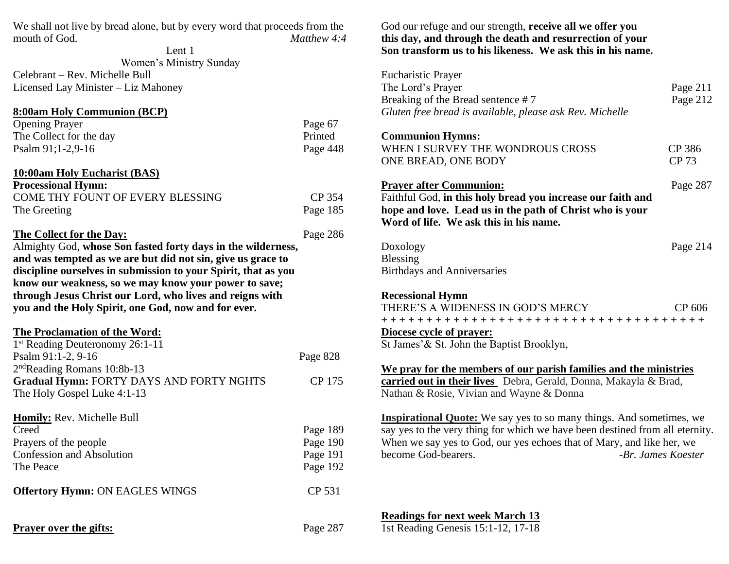| We shall not live by bread alone, but by every word that proceeds from the<br>mouth of God.<br>Matthew 4:4 |                      | God our r<br>this day, |  |
|------------------------------------------------------------------------------------------------------------|----------------------|------------------------|--|
| Lent 1                                                                                                     |                      | Son trans              |  |
| Women's Ministry Sunday                                                                                    |                      |                        |  |
| Celebrant - Rev. Michelle Bull                                                                             |                      | Eucharisti             |  |
| Licensed Lay Minister - Liz Mahoney                                                                        |                      | The Lord <sup>:</sup>  |  |
|                                                                                                            |                      | <b>Breaking</b>        |  |
| <b>8:00am Holy Communion (BCP)</b>                                                                         |                      | Gluten fre             |  |
| <b>Opening Prayer</b>                                                                                      | Page 67              |                        |  |
| The Collect for the day                                                                                    | Printed              | Commun                 |  |
| Psalm 91;1-2,9-16                                                                                          | Page 448             | <b>WHEN I</b>          |  |
|                                                                                                            |                      | <b>ONE BRI</b>         |  |
| <b>10:00am Holy Eucharist (BAS)</b>                                                                        |                      |                        |  |
| <b>Processional Hymn:</b>                                                                                  |                      | <b>Prayer af</b>       |  |
| COME THY FOUNT OF EVERY BLESSING                                                                           | CP 354               | Faithful C             |  |
| The Greeting                                                                                               | Page 185             | hope and               |  |
|                                                                                                            |                      | Word of                |  |
| The Collect for the Day:                                                                                   | Page 286             |                        |  |
| Almighty God, whose Son fasted forty days in the wilderness,                                               |                      | Doxology               |  |
| and was tempted as we are but did not sin, give us grace to                                                |                      | Blessing               |  |
| discipline ourselves in submission to your Spirit, that as you                                             |                      | <b>Birthdays</b>       |  |
| know our weakness, so we may know your power to save;                                                      |                      |                        |  |
| through Jesus Christ our Lord, who lives and reigns with                                                   |                      | <b>Recession</b>       |  |
| you and the Holy Spirit, one God, now and for ever.                                                        |                      | THERE'S                |  |
|                                                                                                            |                      | $+ + + + +$            |  |
| <b>The Proclamation of the Word:</b>                                                                       |                      | <b>Diocese c</b>       |  |
| 1st Reading Deuteronomy 26:1-11                                                                            |                      | St James'              |  |
| Psalm 91:1-2, 9-16                                                                                         | Page 828             |                        |  |
| $2nd$ Reading Romans 10:8b-13                                                                              |                      | We pray                |  |
| <b>Gradual Hymn: FORTY DAYS AND FORTY NGHTS</b>                                                            | CP 175               | carried of             |  |
| The Holy Gospel Luke 4:1-13                                                                                |                      | Nathan &               |  |
| Homily: Rev. Michelle Bull                                                                                 |                      |                        |  |
|                                                                                                            |                      | <b>Inspiration</b>     |  |
| Creed                                                                                                      | Page 189             | say yes to             |  |
| Prayers of the people<br><b>Confession and Absolution</b>                                                  | Page 190<br>Page 191 | When we<br>become G    |  |
| The Peace                                                                                                  | Page 192             |                        |  |
|                                                                                                            |                      |                        |  |
| <b>Offertory Hymn: ON EAGLES WINGS</b>                                                                     | CP 531               |                        |  |
|                                                                                                            |                      | <b>Readings</b>        |  |
| <b>Prayer over the gifts:</b>                                                                              | Page 287             | 1st Readin             |  |

## refuge and our strength, **receive all we offer you this day, and through the death and resurrection of your Son transform us to his likeness. We ask this in his name.**

| <b>Eucharistic Prayer</b><br>The Lord's Prayer<br>Breaking of the Bread sentence #7<br>Gluten free bread is available, please ask Rev. Michelle                                                                                                                                   | Page 211<br>Page 212   |  |
|-----------------------------------------------------------------------------------------------------------------------------------------------------------------------------------------------------------------------------------------------------------------------------------|------------------------|--|
| <b>Communion Hymns:</b><br>WHEN I SURVEY THE WONDROUS CROSS<br>ONE BREAD, ONE BODY                                                                                                                                                                                                | CP 386<br><b>CP 73</b> |  |
| <b>Prayer after Communion:</b><br>Page 287<br>Faithful God, in this holy bread you increase our faith and<br>hope and love. Lead us in the path of Christ who is your<br>Word of life. We ask this in his name.                                                                   |                        |  |
| Doxology<br>Blessing<br><b>Birthdays and Anniversaries</b>                                                                                                                                                                                                                        | Page 214               |  |
| <b>Recessional Hymn</b><br>THERE'S A WIDENESS IN GOD'S MERCY<br>CP 606<br>+++++++++++++++++++++++++++++++++++++<br>Diocese cycle of prayer:<br>St James' & St. John the Baptist Brooklyn,                                                                                         |                        |  |
| We pray for the members of our parish families and the ministries<br>carried out in their lives Debra, Gerald, Donna, Makayla & Brad,<br>Nathan & Rosie, Vivian and Wayne & Donna                                                                                                 |                        |  |
| <b>Inspirational Quote:</b> We say yes to so many things. And sometimes, we<br>say yes to the very thing for which we have been destined from all eternity.<br>When we say yes to God, our yes echoes that of Mary, and like her, we<br>become God-bearers.<br>-Br. James Koester |                        |  |

**Readings for next week March 13**

1st Reading Genesis 15:1-12, 17-18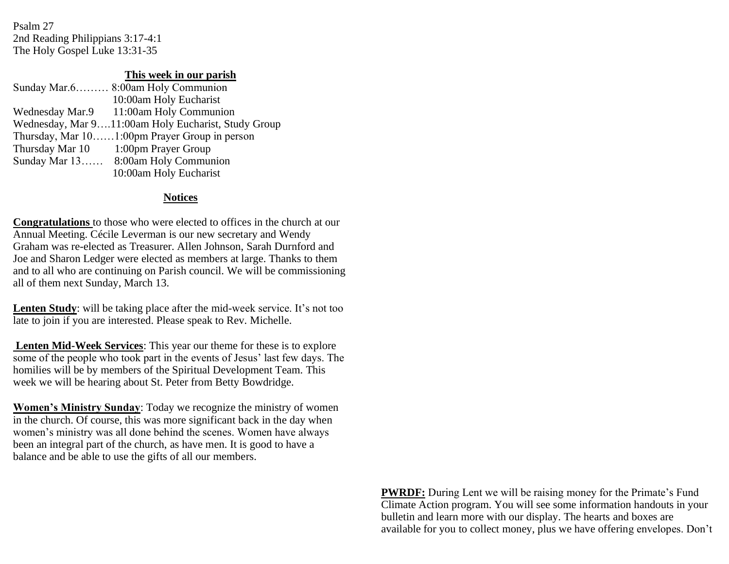Psalm 27 2nd Reading Philippians 3:17-4:1 The Holy Gospel Luke 13:31-35

## **This week in our parish**

| Sunday Mar.6 8:00am Holy Communion                  |
|-----------------------------------------------------|
| 10:00am Holy Eucharist                              |
| Wednesday Mar.9 11:00am Holy Communion              |
| Wednesday, Mar 911:00am Holy Eucharist, Study Group |
| Thursday, Mar 101:00pm Prayer Group in person       |
| Thursday Mar 10 1:00pm Prayer Group                 |
| Sunday Mar 13 8:00am Holy Communion                 |
| 10:00am Holy Eucharist                              |

## **Notices**

**Congratulations** to those who were elected to offices in the church at our Annual Meeting. Cécile Leverman is our new secretary and Wendy Graham was re-elected as Treasurer. Allen Johnson, Sarah Durnford and Joe and Sharon Ledger were elected as members at large. Thanks to them and to all who are continuing on Parish council. We will be commissioning all of them next Sunday, March 13.

**Lenten Study**: will be taking place after the mid-week service. It's not too late to join if you are interested. Please speak to Rev. Michelle.

**Lenten Mid-Week Services**: This year our theme for these is to explore some of the people who took part in the events of Jesus' last few days. The homilies will be by members of the Spiritual Development Team. This week we will be hearing about St. Peter from Betty Bowdridge.

**Women's Ministry Sunday**: Today we recognize the ministry of women in the church. Of course, this was more significant back in the day when women's ministry was all done behind the scenes. Women have always been an integral part of the church, as have men. It is good to have a balance and be able to use the gifts of all our members.

> **PWRDF:** During Lent we will be raising money for the Primate's Fund Climate Action program. You will see some information handouts in your bulletin and learn more with our display. The hearts and boxes are available for you to collect money, plus we have offering envelopes. Don't